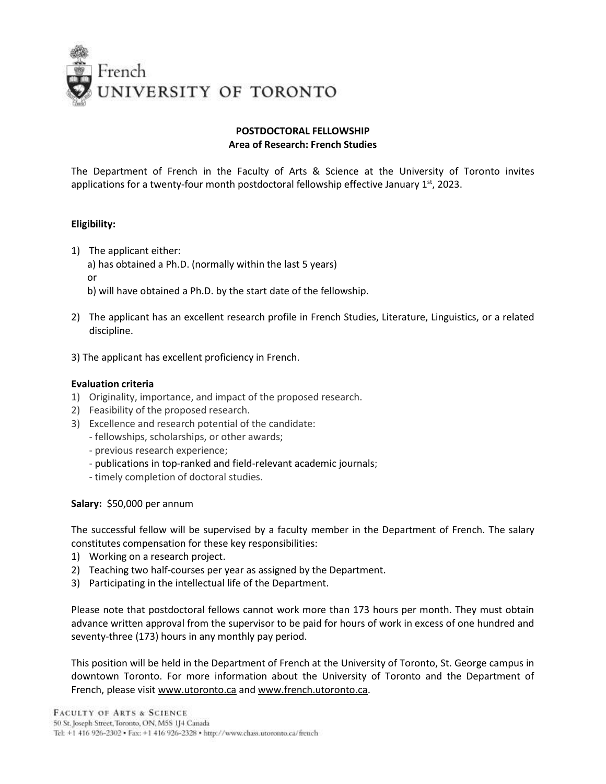

# **POSTDOCTORAL FELLOWSHIP Area of Research: French Studies**

The Department of French in the Faculty of Arts & Science at the University of Toronto invites applications for a twenty-four month postdoctoral fellowship effective January  $1<sup>st</sup>$ , 2023.

# **Eligibility:**

1) The applicant either:

a) has obtained a Ph.D. (normally within the last 5 years) or

b) will have obtained a Ph.D. by the start date of the fellowship.

- 2) The applicant has an excellent research profile in French Studies, Literature, Linguistics, or a related discipline.
- 3) The applicant has excellent proficiency in French.

### **Evaluation criteria**

- 1) Originality, importance, and impact of the proposed research.
- 2) Feasibility of the proposed research.
- 3) Excellence and research potential of the candidate:
	- fellowships, scholarships, or other awards;
	- previous research experience;
	- publications in top-ranked and field-relevant academic journals;
	- timely completion of doctoral studies.

**Salary:** \$50,000 per annum

The successful fellow will be supervised by a faculty member in the Department of French. The salary constitutes compensation for these key responsibilities:

- 1) Working on a research project.
- 2) Teaching two half-courses per year as assigned by the Department.
- 3) Participating in the intellectual life of the Department.

Please note that postdoctoral fellows cannot work more than 173 hours per month. They must obtain advance written approval from the supervisor to be paid for hours of work in excess of one hundred and seventy-three (173) hours in any monthly pay period.

This position will be held in the Department of French at the University of Toronto, St. George campus in downtown Toronto. For more information about the University of Toronto and the Department of French, please visi[t www.utoronto.ca](../../../AppData/Local/Microsoft/Windows/AppData/Local/Microsoft/Windows/AppData/Local/Microsoft/Windows/AppData/Local/Microsoft/Windows/AppData/Local/Microsoft/Windows/AppData/Local/Microsoft/Windows/AppData/Local/Microsoft/wilkesli/AppData/Local/Microsoft/AppData/Local/Microsoft/Windows/AppData/Local/Microsoft/Windows/Temporary%20Internet%20Files/Content.Outlook/AppData/AppData/Local/Microsoft/Windows/AppData/Local/Microsoft/Windows/Temporary%20Internet%20Files/Content.Outlook/3UBF76CT/www.utoronto.ca) an[d www.french.utoronto.ca.](../../../AppData/Local/Microsoft/Windows/AppData/Local/Microsoft/Windows/AppData/Local/Microsoft/Windows/AppData/Local/Microsoft/Windows/AppData/Local/Microsoft/Windows/AppData/Local/Microsoft/Windows/AppData/Local/Microsoft/wilkesli/AppData/Local/Microsoft/AppData/Local/Microsoft/Windows/AppData/Local/Microsoft/Windows/Temporary%20Internet%20Files/Content.Outlook/AppData/AppData/Local/Microsoft/Windows/AppData/Local/Microsoft/Windows/Temporary%20Internet%20Files/Content.Outlook/3UBF76CT/www.french.utoronto.ca)